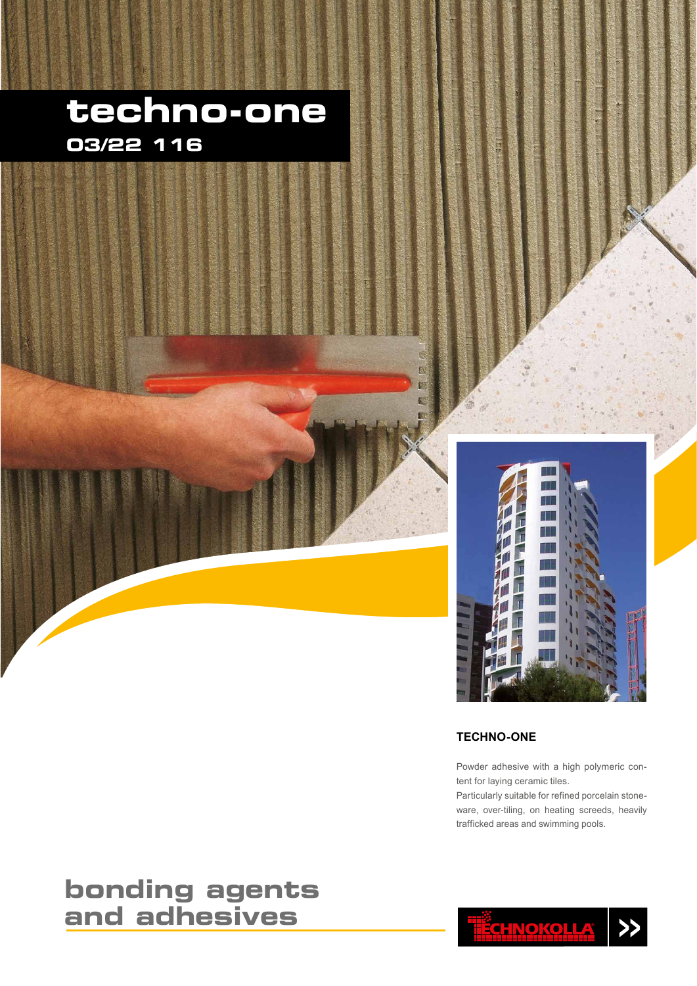## **techno-one 03/22 116**



#### **TECHNO-ONE**

Powder adhesive with a high polymeric content for laying ceramic tiles.

Particularly suitable for refined porcelain stoneware, over-tiling, on heating screeds, heavily trafficked areas and swimming pools.

<u>ËCHNOKOLLA</u>

 $\rightarrow$ 

### **bonding agents and adhesives**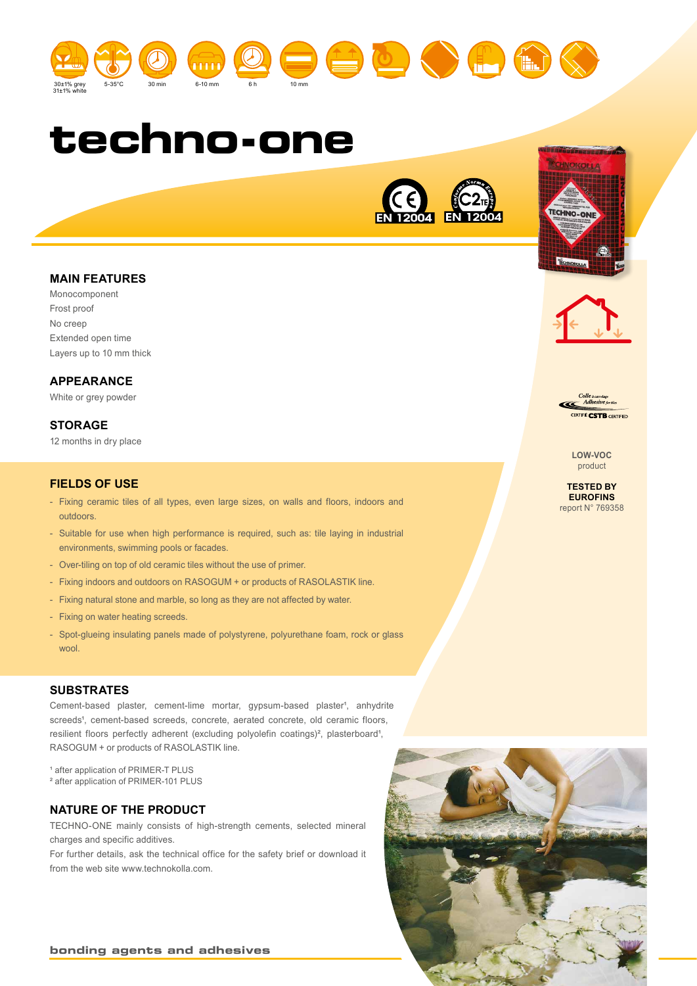







#### **MAIN FEATURES**

Monocomponent Frost proof No creep Extended open time Layers up to 10 mm thick

#### **APPEARANCE**

White or grey powder

#### **STORAGE**

12 months in dry place

#### **FIELDS OF USE**

- Fixing ceramic tiles of all types, even large sizes, on walls and floors, indoors and outdoors.
- Suitable for use when high performance is required, such as: tile laying in industrial environments, swimming pools or facades.
- Over-tiling on top of old ceramic tiles without the use of primer.
- Fixing indoors and outdoors on RASOGUM + or products of RASOLASTIK line.
- Fixing natural stone and marble, so long as they are not affected by water.
- Fixing on water heating screeds.
- Spot-glueing insulating panels made of polystyrene, polyurethane foam, rock or glass wool.

#### **SUBSTRATES**

Cement-based plaster, cement-lime mortar, gypsum-based plaster<sup>4</sup>, anhydrite screeds<sup>4</sup>, cement-based screeds, concrete, aerated concrete, old ceramic floors, resilient floors perfectly adherent (excluding polyolefin coatings)<sup>2</sup>, plasterboard<sup>1</sup>, RASOGUM + or products of RASOLASTIK line.

<sup>1</sup> after application of PRIMER-T PLUS

² after application of PRIMER-101 PLUS

#### **NATURE OF THE PRODUCT**

**bonding agents and adhesives**

TECHNO-ONE mainly consists of high-strength cements, selected mineral charges and specific additives.

For further details, ask the technical office for the safety brief or download it from the web site www.technokolla.com.





TECHNO-ON

**LOW-VOC** product

**TESTED BY EUROFINS** report N° 769358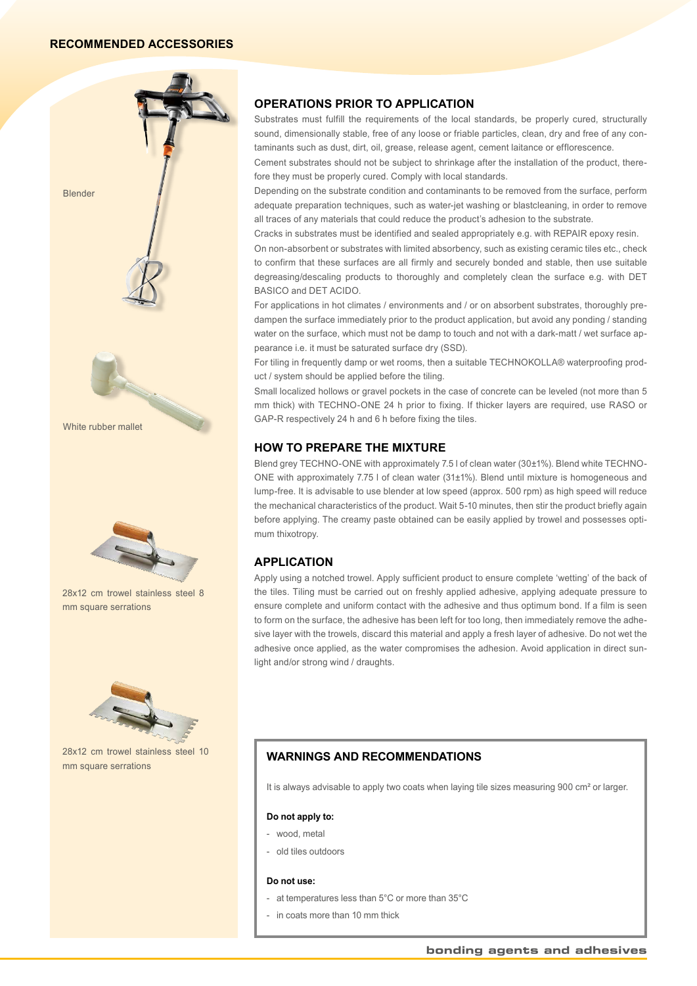#### **RECOMMENDED ACCESSORIES**



#### **OPERATIONS PRIOR TO APPLICATION**

Substrates must fulfill the requirements of the local standards, be properly cured, structurally sound, dimensionally stable, free of any loose or friable particles, clean, dry and free of any contaminants such as dust, dirt, oil, grease, release agent, cement laitance or efflorescence.

Cement substrates should not be subject to shrinkage after the installation of the product, therefore they must be properly cured. Comply with local standards.

Depending on the substrate condition and contaminants to be removed from the surface, perform adequate preparation techniques, such as water-jet washing or blastcleaning, in order to remove all traces of any materials that could reduce the product's adhesion to the substrate.

Cracks in substrates must be identified and sealed appropriately e.g. with REPAIR epoxy resin.

On non-absorbent or substrates with limited absorbency, such as existing ceramic tiles etc., check to confirm that these surfaces are all firmly and securely bonded and stable, then use suitable degreasing/descaling products to thoroughly and completely clean the surface e.g. with DET BASICO and DET ACIDO.

For applications in hot climates / environments and / or on absorbent substrates, thoroughly predampen the surface immediately prior to the product application, but avoid any ponding / standing water on the surface, which must not be damp to touch and not with a dark-matt / wet surface appearance i.e. it must be saturated surface dry (SSD).

For tiling in frequently damp or wet rooms, then a suitable TECHNOKOLLA® waterproofing product / system should be applied before the tiling.

Small localized hollows or gravel pockets in the case of concrete can be leveled (not more than 5 mm thick) with TECHNO-ONE 24 h prior to fixing. If thicker layers are required, use RASO or GAP-R respectively 24 h and 6 h before fixing the tiles.

#### **HOW TO PREPARE THE MIXTURE**

Blend grey TECHNO-ONE with approximately 7.5 l of clean water (30±1%). Blend white TECHNO-ONE with approximately 7.75 l of clean water (31±1%). Blend until mixture is homogeneous and lump-free. It is advisable to use blender at low speed (approx. 500 rpm) as high speed will reduce the mechanical characteristics of the product. Wait 5-10 minutes, then stir the product briefly again before applying. The creamy paste obtained can be easily applied by trowel and possesses optimum thixotropy.

#### **APPLICATION**

Apply using a notched trowel. Apply sufficient product to ensure complete 'wetting' of the back of the tiles. Tiling must be carried out on freshly applied adhesive, applying adequate pressure to ensure complete and uniform contact with the adhesive and thus optimum bond. If a film is seen to form on the surface, the adhesive has been left for too long, then immediately remove the adhesive layer with the trowels, discard this material and apply a fresh layer of adhesive. Do not wet the adhesive once applied, as the water compromises the adhesion. Avoid application in direct sunlight and/or strong wind / draughts.

#### **WARNINGS AND RECOMMENDATIONS**

It is always advisable to apply two coats when laying tile sizes measuring 900 cm<sup>2</sup> or larger.

#### **Do not apply to:**

- wood, metal
- old tiles outdoors

#### **Do not use:**

- at temperatures less than 5°C or more than 35°C
- in coats more than 10 mm thick